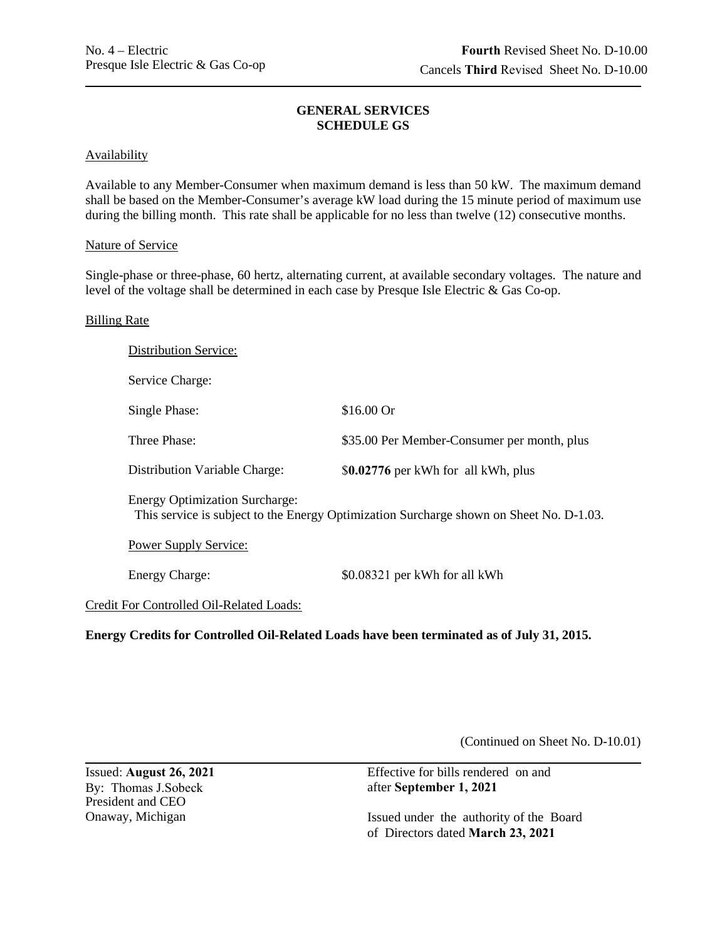# **GENERAL SERVICES SCHEDULE GS**

### Availability

Available to any Member-Consumer when maximum demand is less than 50 kW. The maximum demand shall be based on the Member-Consumer's average kW load during the 15 minute period of maximum use during the billing month. This rate shall be applicable for no less than twelve  $(12)$  consecutive months.

### Nature of Service

Single-phase or three-phase, 60 hertz, alternating current, at available secondary voltages. The nature and level of the voltage shall be determined in each case by Presque Isle Electric & Gas Co-op.

### Billing Rate

| <b>Distribution Service:</b>                                                                                                     |                                             |
|----------------------------------------------------------------------------------------------------------------------------------|---------------------------------------------|
| Service Charge:                                                                                                                  |                                             |
| Single Phase:                                                                                                                    | $$16.00$ Or                                 |
| Three Phase:                                                                                                                     | \$35.00 Per Member-Consumer per month, plus |
| Distribution Variable Charge:                                                                                                    | \$0.02776 per kWh for all kWh, plus         |
| <b>Energy Optimization Surcharge:</b><br>This service is subject to the Energy Optimization Surcharge shown on Sheet No. D-1.03. |                                             |
| <b>Power Supply Service:</b>                                                                                                     |                                             |
| <b>Energy Charge:</b>                                                                                                            | \$0.08321 per kWh for all kWh               |
| Credit For Controlled Oil-Related Loads:                                                                                         |                                             |

**Energy Credits for Controlled Oil-Related Loads have been terminated as of July 31, 2015.** 

(Continued on Sheet No. D-10.01)

Issued: August 26, 2021 By: Thomas J.Sobeck President and CEO Onaway, Michigan Effective for bills rendered on and after September 1, 2021 Issued under the authority of the Board of Directors dated March 23, 2021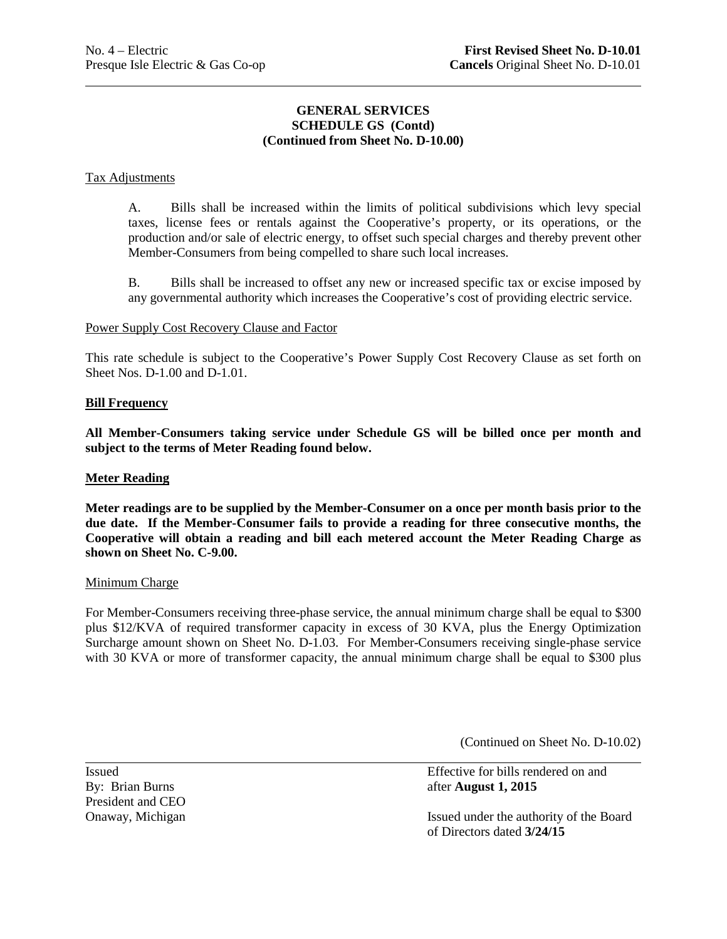# **GENERAL SERVICES SCHEDULE GS (Contd) (Continued from Sheet No. D-10.00)**

### Tax Adjustments

 $\overline{a}$ 

A. Bills shall be increased within the limits of political subdivisions which levy special taxes, license fees or rentals against the Cooperative's property, or its operations, or the production and/or sale of electric energy, to offset such special charges and thereby prevent other Member-Consumers from being compelled to share such local increases.

 B. Bills shall be increased to offset any new or increased specific tax or excise imposed by any governmental authority which increases the Cooperative's cost of providing electric service.

### Power Supply Cost Recovery Clause and Factor

 This rate schedule is subject to the Cooperative's Power Supply Cost Recovery Clause as set forth on Sheet Nos. D-1.00 and D-1.01.

### **Bill Frequency**

**All Member-Consumers taking service under Schedule GS will be billed once per month and subject to the terms of Meter Reading found below.** 

#### **Meter Reading**

 **due date. If the Member-Consumer fails to provide a reading for three consecutive months, the Cooperative will obtain a reading and bill each metered account the Meter Reading Charge as Meter readings are to be supplied by the Member-Consumer on a once per month basis prior to the shown on Sheet No. C-9.00.** 

#### Minimum Charge

For Member-Consumers receiving three-phase service, the annual minimum charge shall be equal to \$300 plus \$12/KVA of required transformer capacity in excess of 30 KVA, plus the Energy Optimization Surcharge amount shown on Sheet No. D-1.03. For Member-Consumers receiving single-phase service with 30 KVA or more of transformer capacity, the annual minimum charge shall be equal to \$300 plus

(Continued on Sheet No. D-10.02)

President and CEO<br>Onaway, Michigan

 Issued Effective for bills rendered on and By: Brian Burns **and Burns** after **August 1, 2015** 

Onaway, Michigan **Issued under the authority of the Board** of Directors dated **3/24/15**